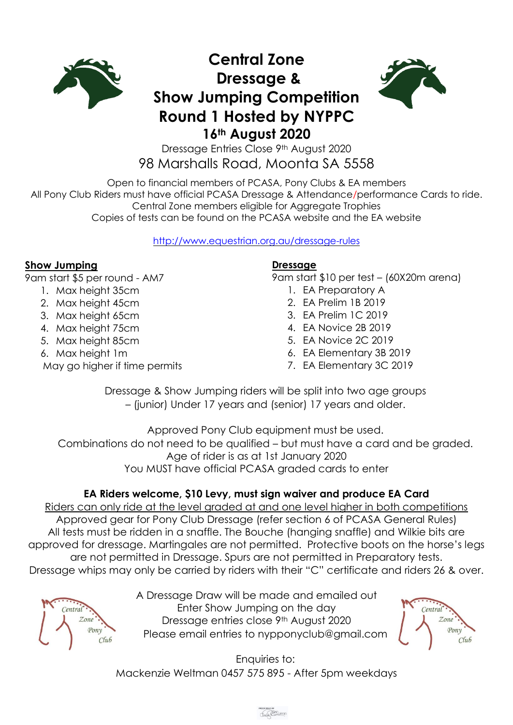

## **Central Zone Dressage & Show Jumping Competition Round 1 Hosted by NYPPC 16th August 2020**



Dressage Entries Close 9th August 2020 98 Marshalls Road, Moonta SA 5558

Open to financial members of PCASA, Pony Clubs & EA members All Pony Club Riders must have official PCASA Dressage & Attendance/performance Cards to ride. Central Zone members eligible for Aggregate Trophies Copies of tests can be found on the PCASA website and the EA website

<http://www.equestrian.org.au/dressage-rules>

## **Show Jumping**

9am start \$5 per round - AM7

- 1. Max height 35cm
- 2. Max height 45cm
- 3. Max height 65cm
- 4. Max height 75cm
- 5. Max height 85cm
- 6. Max height 1m
- May go higher if time permits

## **Dressage**

9am start \$10 per test – (60X20m arena)

- 1. EA Preparatory A
- 2. EA Prelim 1B 2019
- 3. EA Prelim 1C 2019
- 4. EA Novice 2B 2019
- 5. EA Novice 2C 2019
- 6. EA Elementary 3B 2019
- 7. EA Elementary 3C 2019

Dressage & Show Jumping riders will be split into two age groups – (junior) Under 17 years and (senior) 17 years and older.

Approved Pony Club equipment must be used. Combinations do not need to be qualified – but must have a card and be graded. Age of rider is as at 1st January 2020 You MUST have official PCASA graded cards to enter

## **EA Riders welcome, \$10 Levy, must sign waiver and produce EA Card**

Riders can only ride at the level graded at and one level higher in both competitions Approved gear for Pony Club Dressage (refer section 6 of PCASA General Rules) All tests must be ridden in a snaffle. The Bouche (hanging snaffle) and Wilkie bits are approved for dressage. Martingales are not permitted. Protective boots on the horse's legs are not permitted in Dressage. Spurs are not permitted in Preparatory tests. Dressage whips may only be carried by riders with their "C" certificate and riders 26 & over.



A Dressage Draw will be made and emailed out Enter Show Jumping on the day Dressage entries close 9th August 2020 Please email entries to [nypponyclub@gmail.com](mailto:nypponyclub@gmail.com)



Enquiries to: Mackenzie Weltman 0457 575 895 - After 5pm weekdays